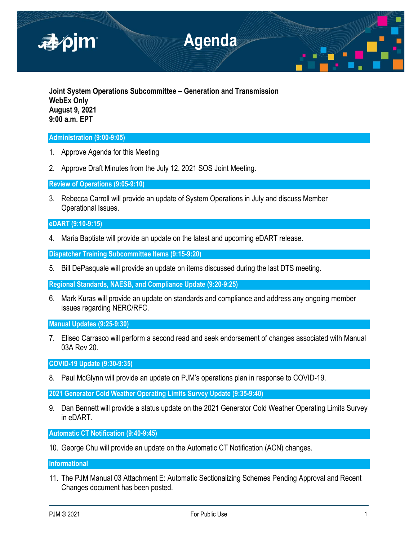

**Joint System Operations Subcommittee – Generation and Transmission WebEx Only August 9, 2021 9:00 a.m. EPT**

## **Administration (9:00-9:05)**

- 1. Approve Agenda for this Meeting
- 2. Approve Draft Minutes from the July 12, 2021 SOS Joint Meeting.

**Review of Operations (9:05-9:10)**

3. Rebecca Carroll will provide an update of System Operations in July and discuss Member Operational Issues.

# **eDART (9:10-9:15)**

4. Maria Baptiste will provide an update on the latest and upcoming eDART release.

**Dispatcher Training Subcommittee Items (9:15-9:20)**

5. Bill DePasquale will provide an update on items discussed during the last DTS meeting.

**Regional Standards, NAESB, and Compliance Update (9:20-9:25)**

6. Mark Kuras will provide an update on standards and compliance and address any ongoing member issues regarding NERC/RFC.

**Manual Updates (9:25-9:30)**

7. Eliseo Carrasco will perform a second read and seek endorsement of changes associated with Manual 03A Rev 20.

**COVID-19 Update (9:30-9:35)**

8. Paul McGlynn will provide an update on PJM's operations plan in response to COVID-19.

**2021 Generator Cold Weather Operating Limits Survey Update (9:35-9:40)**

9. Dan Bennett will provide a status update on the 2021 Generator Cold Weather Operating Limits Survey in eDART.

**Automatic CT Notification (9:40-9:45)**

10. George Chu will provide an update on the Automatic CT Notification (ACN) changes.

**Informational**

11. The PJM Manual 03 Attachment E: Automatic Sectionalizing Schemes Pending Approval and Recent Changes document has been posted.